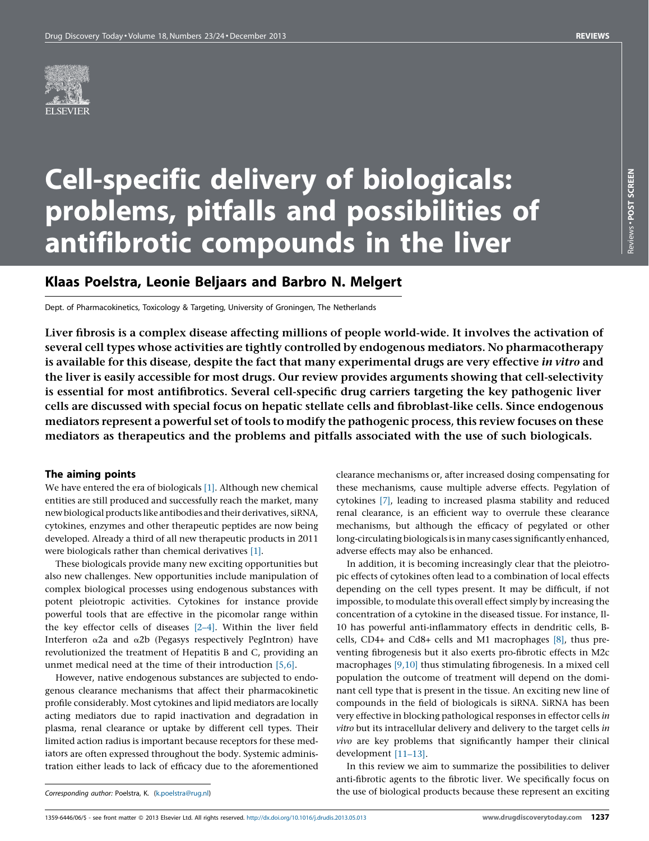

# Cell-specific delivery of biologicals: problems, pitfalls and possibilities of antifibrotic compounds in the liver

## Klaas Poelstra, Leonie Beljaars and Barbro N. Melgert

Dept. of Pharmacokinetics, Toxicology & Targeting, University of Groningen, The Netherlands

Liver fibrosis is a complex disease affecting millions of people world-wide. It involves the activation of several cell types whose activities are tightly controlled by endogenous mediators. No pharmacotherapy is available for this disease, despite the fact that many experimental drugs are very effective in vitro and the liver is easily accessible for most drugs. Our review provides arguments showing that cell-selectivity is essential for most antifibrotics. Several cell-specific drug carriers targeting the key pathogenic liver cells are discussed with special focus on hepatic stellate cells and fibroblast-like cells. Since endogenous mediators represent a powerful set of tools to modify the pathogenic process, this review focuses on these mediators as therapeutics and the problems and pitfalls associated with the use of such biologicals.

#### The aiming points

We have entered the era of biologicals [\[1\].](#page-4-0) Although new chemical entities are still produced and successfully reach the market, many newbiological products like antibodies and their derivatives, siRNA, cytokines, enzymes and other therapeutic peptides are now being developed. Already a third of all new therapeutic products in 2011 were biologicals rather than chemical derivatives [\[1\].](#page-4-0)

These biologicals provide many new exciting opportunities but also new challenges. New opportunities include manipulation of complex biological processes using endogenous substances with potent pleiotropic activities. Cytokines for instance provide powerful tools that are effective in the picomolar range within the key effector cells of diseases [\[2–4\].](#page-4-0) Within the liver field Interferon  $\alpha$ 2a and  $\alpha$ 2b (Pegasys respectively PegIntron) have revolutionized the treatment of Hepatitis B and C, providing an unmet medical need at the time of their introduction [\[5,6\]](#page-4-0).

However, native endogenous substances are subjected to endogenous clearance mechanisms that affect their pharmacokinetic profile considerably. Most cytokines and lipid mediators are locally acting mediators due to rapid inactivation and degradation in plasma, renal clearance or uptake by different cell types. Their limited action radius is important because receptors for these mediators are often expressed throughout the body. Systemic administration either leads to lack of efficacy due to the aforementioned clearance mechanisms or, after increased dosing compensating for these mechanisms, cause multiple adverse effects. Pegylation of cytokines [\[7\],](#page-4-0) leading to increased plasma stability and reduced renal clearance, is an efficient way to overrule these clearance mechanisms, but although the efficacy of pegylated or other long-circulating biologicals is in many cases significantly enhanced, adverse effects may also be enhanced.

In addition, it is becoming increasingly clear that the pleiotropic effects of cytokines often lead to a combination of local effects depending on the cell types present. It may be difficult, if not impossible, to modulate this overall effect simply by increasing the concentration of a cytokine in the diseased tissue. For instance, Il-10 has powerful anti-inflammatory effects in dendritic cells, Bcells, CD4+ and Cd8+ cells and M1 macrophages [\[8\],](#page-4-0) thus preventing fibrogenesis but it also exerts pro-fibrotic effects in M2c macrophages [\[9,10\]](#page-4-0) thus stimulating fibrogenesis. In a mixed cell population the outcome of treatment will depend on the dominant cell type that is present in the tissue. An exciting new line of compounds in the field of biologicals is siRNA. SiRNA has been very effective in blocking pathological responses in effector cells in vitro but its intracellular delivery and delivery to the target cells in vivo are key problems that significantly hamper their clinical development [\[11–13\].](#page-4-0)

In this review we aim to summarize the possibilities to deliver anti-fibrotic agents to the fibrotic liver. We specifically focus on the use of biological products because these represent an exciting

Corresponding author: Poelstra, K. [\(k.poelstra@rug.nl](mailto:k.poelstra@rug.nl))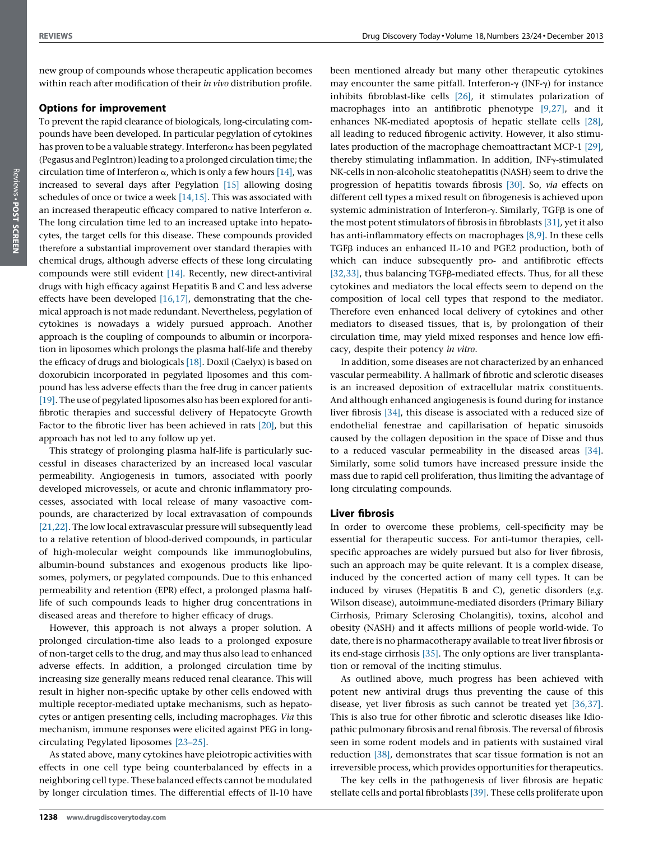new group of compounds whose therapeutic application becomes within reach after modification of their in vivo distribution profile.

#### Options for improvement

To prevent the rapid clearance of biologicals, long-circulating compounds have been developed. In particular pegylation of cytokines has proven to be a valuable strategy. Interferona has been pegylated (Pegasus and PegIntron) leading to a prolonged circulation time; the circulation time of Interferon  $\alpha$ , which is only a few hours [\[14\]](#page-4-0), was increased to several days after Pegylation [\[15\]](#page-4-0) allowing dosing schedules of once or twice a week [\[14,15\].](#page-4-0) This was associated with an increased therapeutic efficacy compared to native Interferon  $\alpha$ . The long circulation time led to an increased uptake into hepatocytes, the target cells for this disease. These compounds provided therefore a substantial improvement over standard therapies with chemical drugs, although adverse effects of these long circulating compounds were still evident [\[14\].](#page-4-0) Recently, new direct-antiviral drugs with high efficacy against Hepatitis B and C and less adverse effects have been developed [\[16,17\],](#page-4-0) demonstrating that the chemical approach is not made redundant. Nevertheless, pegylation of cytokines is nowadays a widely pursued approach. Another approach is the coupling of compounds to albumin or incorporation in liposomes which prolongs the plasma half-life and thereby the efficacy of drugs and biologicals [\[18\].](#page-4-0) Doxil (Caelyx) is based on doxorubicin incorporated in pegylated liposomes and this compound has less adverse effects than the free drug in cancer patients [\[19\].](#page-4-0) The use of pegylated liposomes also has been explored for antifibrotic therapies and successful delivery of Hepatocyte Growth Factor to the fibrotic liver has been achieved in rats [\[20\],](#page-4-0) but this approach has not led to any follow up yet.

This strategy of prolonging plasma half-life is particularly successful in diseases characterized by an increased local vascular permeability. Angiogenesis in tumors, associated with poorly developed microvessels, or acute and chronic inflammatory processes, associated with local release of many vasoactive compounds, are characterized by local extravasation of compounds [\[21,22\]](#page-4-0). The low local extravascular pressure will subsequently lead to a relative retention of blood-derived compounds, in particular of high-molecular weight compounds like immunoglobulins, albumin-bound substances and exogenous products like liposomes, polymers, or pegylated compounds. Due to this enhanced permeability and retention (EPR) effect, a prolonged plasma halflife of such compounds leads to higher drug concentrations in diseased areas and therefore to higher efficacy of drugs.

However, this approach is not always a proper solution. A prolonged circulation-time also leads to a prolonged exposure of non-target cells to the drug, and may thus also lead to enhanced adverse effects. In addition, a prolonged circulation time by increasing size generally means reduced renal clearance. This will result in higher non-specific uptake by other cells endowed with multiple receptor-mediated uptake mechanisms, such as hepatocytes or antigen presenting cells, including macrophages. Via this mechanism, immune responses were elicited against PEG in longcirculating Pegylated liposomes [\[23–25\]](#page-4-0).

As stated above, many cytokines have pleiotropic activities with effects in one cell type being counterbalanced by effects in a neighboring cell type. These balanced effects cannot be modulated by longer circulation times. The differential effects of Il-10 have

been mentioned already but many other therapeutic cytokines may encounter the same pitfall. Interferon- $\gamma$  (INF- $\gamma$ ) for instance inhibits fibroblast-like cells [\[26\],](#page-4-0) it stimulates polarization of macrophages into an antifibrotic phenotype [\[9,27\]](#page-4-0), and it enhances NK-mediated apoptosis of hepatic stellate cells [\[28\]](#page-4-0), all leading to reduced fibrogenic activity. However, it also stimulates production of the macrophage chemoattractant MCP-1 [\[29\]](#page-4-0), thereby stimulating inflammation. In addition, INFy-stimulated NK-cells in non-alcoholic steatohepatitis (NASH) seem to drive the progression of hepatitis towards fibrosis [\[30\]](#page-4-0). So, via effects on different cell types a mixed result on fibrogenesis is achieved upon systemic administration of Interferon- $\gamma$ . Similarly, TGFB is one of the most potent stimulators of fibrosis in fibroblasts [\[31\],](#page-4-0) yet it also has anti-inflammatory effects on macrophages [\[8,9\]](#page-4-0). In these cells TGF<sub>B</sub> induces an enhanced IL-10 and PGE2 production, both of which can induce subsequently pro- and antifibrotic effects [\[32,33\]](#page-4-0), thus balancing TGFß-mediated effects. Thus, for all these cytokines and mediators the local effects seem to depend on the composition of local cell types that respond to the mediator. Therefore even enhanced local delivery of cytokines and other mediators to diseased tissues, that is, by prolongation of their circulation time, may yield mixed responses and hence low efficacy, despite their potency in vitro.

In addition, some diseases are not characterized by an enhanced vascular permeability. A hallmark of fibrotic and sclerotic diseases is an increased deposition of extracellular matrix constituents. And although enhanced angiogenesis is found during for instance liver fibrosis [\[34\]](#page-4-0), this disease is associated with a reduced size of endothelial fenestrae and capillarisation of hepatic sinusoids caused by the collagen deposition in the space of Disse and thus to a reduced vascular permeability in the diseased areas [\[34\]](#page-4-0). Similarly, some solid tumors have increased pressure inside the mass due to rapid cell proliferation, thus limiting the advantage of long circulating compounds.

#### Liver fibrosis

In order to overcome these problems, cell-specificity may be essential for therapeutic success. For anti-tumor therapies, cellspecific approaches are widely pursued but also for liver fibrosis, such an approach may be quite relevant. It is a complex disease, induced by the concerted action of many cell types. It can be induced by viruses (Hepatitis B and C), genetic disorders  $(e.g.,)$ Wilson disease), autoimmune-mediated disorders (Primary Biliary Cirrhosis, Primary Sclerosing Cholangitis), toxins, alcohol and obesity (NASH) and it affects millions of people world-wide. To date, there is no pharmacotherapy available to treat liver fibrosis or its end-stage cirrhosis [\[35\]](#page-4-0). The only options are liver transplantation or removal of the inciting stimulus.

As outlined above, much progress has been achieved with potent new antiviral drugs thus preventing the cause of this disease, yet liver fibrosis as such cannot be treated yet [\[36,37\]](#page-4-0). This is also true for other fibrotic and sclerotic diseases like Idiopathic pulmonary fibrosis and renal fibrosis. The reversal of fibrosis seen in some rodent models and in patients with sustained viral reduction [\[38\]](#page-4-0), demonstrates that scar tissue formation is not an irreversible process, which provides opportunities for therapeutics.

The key cells in the pathogenesis of liver fibrosis are hepatic stellate cells and portal fibroblasts [\[39\]](#page-4-0). These cells proliferate upon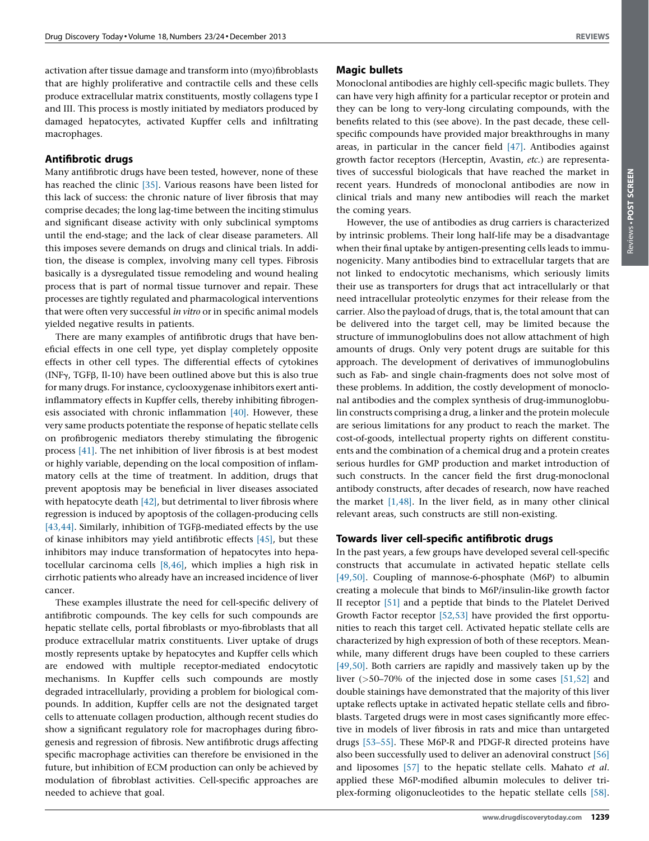activation after tissue damage and transform into (myo)fibroblasts that are highly proliferative and contractile cells and these cells produce extracellular matrix constituents, mostly collagens type I and III. This process is mostly initiated by mediators produced by damaged hepatocytes, activated Kupffer cells and infiltrating macrophages.

### Antifibrotic drugs

Many antifibrotic drugs have been tested, however, none of these has reached the clinic [\[35\]](#page-4-0). Various reasons have been listed for this lack of success: the chronic nature of liver fibrosis that may comprise decades; the long lag-time between the inciting stimulus and significant disease activity with only subclinical symptoms until the end-stage; and the lack of clear disease parameters. All this imposes severe demands on drugs and clinical trials. In addition, the disease is complex, involving many cell types. Fibrosis basically is a dysregulated tissue remodeling and wound healing process that is part of normal tissue turnover and repair. These processes are tightly regulated and pharmacological interventions that were often very successful in vitro or in specific animal models yielded negative results in patients.

There are many examples of antifibrotic drugs that have beneficial effects in one cell type, yet display completely opposite effects in other cell types. The differential effects of cytokines ( $INF\gamma$ , TGF $\beta$ , Il-10) have been outlined above but this is also true for many drugs. For instance, cyclooxygenase inhibitors exert antiinflammatory effects in Kupffer cells, thereby inhibiting fibrogen-esis associated with chronic inflammation [\[40\].](#page-4-0) However, these very same products potentiate the response of hepatic stellate cells on profibrogenic mediators thereby stimulating the fibrogenic process [\[41\]](#page-4-0). The net inhibition of liver fibrosis is at best modest or highly variable, depending on the local composition of inflammatory cells at the time of treatment. In addition, drugs that prevent apoptosis may be beneficial in liver diseases associated with hepatocyte death [\[42\]](#page-4-0), but detrimental to liver fibrosis where regression is induced by apoptosis of the collagen-producing cells [\[43,44\]](#page-5-0). Similarly, inhibition of TGF<sub>B</sub>-mediated effects by the use of kinase inhibitors may yield antifibrotic effects [\[45\],](#page-5-0) but these inhibitors may induce transformation of hepatocytes into hepatocellular carcinoma cells [\[8,46\],](#page-4-0) which implies a high risk in cirrhotic patients who already have an increased incidence of liver cancer.

These examples illustrate the need for cell-specific delivery of antifibrotic compounds. The key cells for such compounds are hepatic stellate cells, portal fibroblasts or myo-fibroblasts that all produce extracellular matrix constituents. Liver uptake of drugs mostly represents uptake by hepatocytes and Kupffer cells which are endowed with multiple receptor-mediated endocytotic mechanisms. In Kupffer cells such compounds are mostly degraded intracellularly, providing a problem for biological compounds. In addition, Kupffer cells are not the designated target cells to attenuate collagen production, although recent studies do show a significant regulatory role for macrophages during fibrogenesis and regression of fibrosis. New antifibrotic drugs affecting specific macrophage activities can therefore be envisioned in the future, but inhibition of ECM production can only be achieved by modulation of fibroblast activities. Cell-specific approaches are needed to achieve that goal.

#### Magic bullets

Monoclonal antibodies are highly cell-specific magic bullets. They can have very high affinity for a particular receptor or protein and they can be long to very-long circulating compounds, with the benefits related to this (see above). In the past decade, these cellspecific compounds have provided major breakthroughs in many areas, in particular in the cancer field [\[47\]](#page-5-0). Antibodies against growth factor receptors (Herceptin, Avastin, etc.) are representatives of successful biologicals that have reached the market in recent years. Hundreds of monoclonal antibodies are now in clinical trials and many new antibodies will reach the market the coming years.

However, the use of antibodies as drug carriers is characterized by intrinsic problems. Their long half-life may be a disadvantage when their final uptake by antigen-presenting cells leads to immunogenicity. Many antibodies bind to extracellular targets that are not linked to endocytotic mechanisms, which seriously limits their use as transporters for drugs that act intracellularly or that need intracellular proteolytic enzymes for their release from the carrier. Also the payload of drugs, that is, the total amount that can be delivered into the target cell, may be limited because the structure of immunoglobulins does not allow attachment of high amounts of drugs. Only very potent drugs are suitable for this approach. The development of derivatives of immunoglobulins such as Fab- and single chain-fragments does not solve most of these problems. In addition, the costly development of monoclonal antibodies and the complex synthesis of drug-immunoglobulin constructs comprising a drug, a linker and the protein molecule are serious limitations for any product to reach the market. The cost-of-goods, intellectual property rights on different constituents and the combination of a chemical drug and a protein creates serious hurdles for GMP production and market introduction of such constructs. In the cancer field the first drug-monoclonal antibody constructs, after decades of research, now have reached the market  $[1,48]$ . In the liver field, as in many other clinical relevant areas, such constructs are still non-existing.

#### Towards liver cell-specific antifibrotic drugs

In the past years, a few groups have developed several cell-specific constructs that accumulate in activated hepatic stellate cells [\[49,50\]](#page-5-0). Coupling of mannose-6-phosphate (M6P) to albumin creating a molecule that binds to M6P/insulin-like growth factor II receptor [\[51\]](#page-5-0) and a peptide that binds to the Platelet Derived Growth Factor receptor [\[52,53\]](#page-5-0) have provided the first opportunities to reach this target cell. Activated hepatic stellate cells are characterized by high expression of both of these receptors. Meanwhile, many different drugs have been coupled to these carriers [\[49,50\]](#page-5-0). Both carriers are rapidly and massively taken up by the liver (>50–70% of the injected dose in some cases [\[51,52\]](#page-5-0) and double stainings have demonstrated that the majority of this liver uptake reflects uptake in activated hepatic stellate cells and fibroblasts. Targeted drugs were in most cases significantly more effective in models of liver fibrosis in rats and mice than untargeted drugs [\[53–55\].](#page-5-0) These M6P-R and PDGF-R directed proteins have also been successfully used to deliver an adenoviral construct [\[56\]](#page-5-0) and liposomes [\[57\]](#page-5-0) to the hepatic stellate cells. Mahato et al. applied these M6P-modified albumin molecules to deliver triplex-forming oligonucleotides to the hepatic stellate cells [\[58\].](#page-5-0)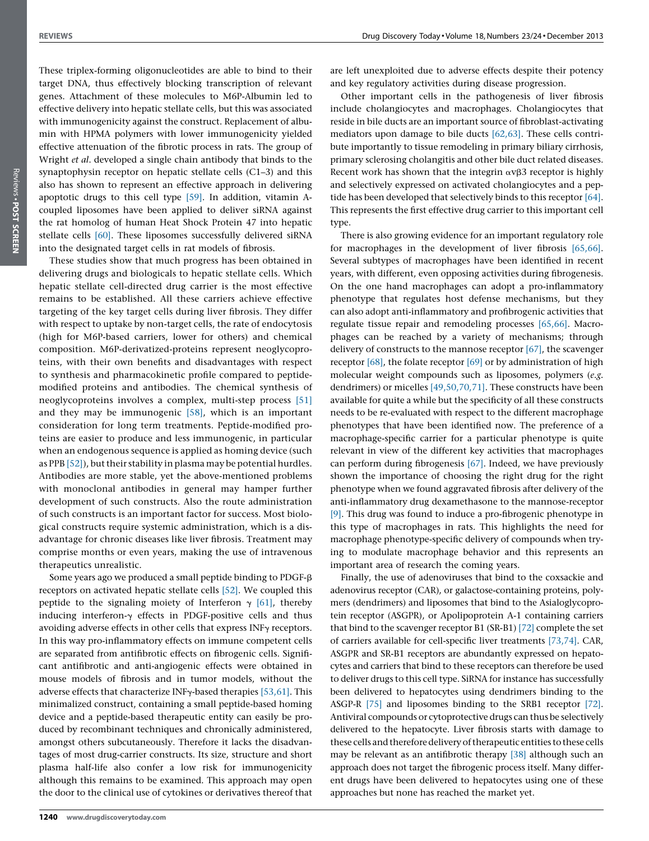These triplex-forming oligonucleotides are able to bind to their target DNA, thus effectively blocking transcription of relevant genes. Attachment of these molecules to M6P-Albumin led to effective delivery into hepatic stellate cells, but this was associated with immunogenicity against the construct. Replacement of albumin with HPMA polymers with lower immunogenicity yielded effective attenuation of the fibrotic process in rats. The group of Wright et al. developed a single chain antibody that binds to the synaptophysin receptor on hepatic stellate cells (C1–3) and this also has shown to represent an effective approach in delivering apoptotic drugs to this cell type [\[59\].](#page-5-0) In addition, vitamin Acoupled liposomes have been applied to deliver siRNA against the rat homolog of human Heat Shock Protein 47 into hepatic stellate cells [\[60\].](#page-5-0) These liposomes successfully delivered siRNA into the designated target cells in rat models of fibrosis.

These studies show that much progress has been obtained in delivering drugs and biologicals to hepatic stellate cells. Which hepatic stellate cell-directed drug carrier is the most effective remains to be established. All these carriers achieve effective targeting of the key target cells during liver fibrosis. They differ with respect to uptake by non-target cells, the rate of endocytosis (high for M6P-based carriers, lower for others) and chemical composition. M6P-derivatized-proteins represent neoglycoproteins, with their own benefits and disadvantages with respect to synthesis and pharmacokinetic profile compared to peptidemodified proteins and antibodies. The chemical synthesis of neoglycoproteins involves a complex, multi-step process [\[51\]](#page-5-0) and they may be immunogenic [\[58\],](#page-5-0) which is an important consideration for long term treatments. Peptide-modified proteins are easier to produce and less immunogenic, in particular when an endogenous sequence is applied as homing device (such as PPB  $[52]$ ), but their stability in plasma may be potential hurdles. Antibodies are more stable, yet the above-mentioned problems with monoclonal antibodies in general may hamper further development of such constructs. Also the route administration of such constructs is an important factor for success. Most biological constructs require systemic administration, which is a disadvantage for chronic diseases like liver fibrosis. Treatment may comprise months or even years, making the use of intravenous therapeutics unrealistic.

Some years ago we produced a small peptide binding to PDGF- $\beta$ receptors on activated hepatic stellate cells [\[52\].](#page-5-0) We coupled this peptide to the signaling moiety of Interferon  $\gamma$  [\[61\]](#page-5-0), thereby inducing interferon- $\gamma$  effects in PDGF-positive cells and thus avoiding adverse effects in other cells that express INF $\gamma$  receptors. In this way pro-inflammatory effects on immune competent cells are separated from antifibrotic effects on fibrogenic cells. Significant antifibrotic and anti-angiogenic effects were obtained in mouse models of fibrosis and in tumor models, without the adverse effects that characterize INF $\gamma$ -based therapies [\[53,61\].](#page-5-0) This minimalized construct, containing a small peptide-based homing device and a peptide-based therapeutic entity can easily be produced by recombinant techniques and chronically administered, amongst others subcutaneously. Therefore it lacks the disadvantages of most drug-carrier constructs. Its size, structure and short plasma half-life also confer a low risk for immunogenicity although this remains to be examined. This approach may open the door to the clinical use of cytokines or derivatives thereof that

are left unexploited due to adverse effects despite their potency and key regulatory activities during disease progression.

Other important cells in the pathogenesis of liver fibrosis include cholangiocytes and macrophages. Cholangiocytes that reside in bile ducts are an important source of fibroblast-activating mediators upon damage to bile ducts [\[62,63\].](#page-5-0) These cells contribute importantly to tissue remodeling in primary biliary cirrhosis, primary sclerosing cholangitis and other bile duct related diseases. Recent work has shown that the integrin  $\alpha v\beta3$  receptor is highly and selectively expressed on activated cholangiocytes and a peptide has been developed that selectively binds to this receptor [\[64\]](#page-5-0). This represents the first effective drug carrier to this important cell type.

There is also growing evidence for an important regulatory role for macrophages in the development of liver fibrosis [\[65,66\]](#page-5-0). Several subtypes of macrophages have been identified in recent years, with different, even opposing activities during fibrogenesis. On the one hand macrophages can adopt a pro-inflammatory phenotype that regulates host defense mechanisms, but they can also adopt anti-inflammatory and profibrogenic activities that regulate tissue repair and remodeling processes [\[65,66\].](#page-5-0) Macrophages can be reached by a variety of mechanisms; through delivery of constructs to the mannose receptor [\[67\],](#page-5-0) the scavenger receptor [\[68\],](#page-5-0) the folate receptor [\[69\]](#page-5-0) or by administration of high molecular weight compounds such as liposomes, polymers (e.g. dendrimers) or micelles [\[49,50,70,71\]](#page-5-0). These constructs have been available for quite a while but the specificity of all these constructs needs to be re-evaluated with respect to the different macrophage phenotypes that have been identified now. The preference of a macrophage-specific carrier for a particular phenotype is quite relevant in view of the different key activities that macrophages can perform during fibrogenesis [\[67\]](#page-5-0). Indeed, we have previously shown the importance of choosing the right drug for the right phenotype when we found aggravated fibrosis after delivery of the anti-inflammatory drug dexamethasone to the mannose-receptor [\[9\]](#page-4-0). This drug was found to induce a pro-fibrogenic phenotype in this type of macrophages in rats. This highlights the need for macrophage phenotype-specific delivery of compounds when trying to modulate macrophage behavior and this represents an important area of research the coming years.

Finally, the use of adenoviruses that bind to the coxsackie and adenovirus receptor (CAR), or galactose-containing proteins, polymers (dendrimers) and liposomes that bind to the Asialoglycoprotein receptor (ASGPR), or Apolipoprotein A-1 containing carriers that bind to the scavenger receptor B1 (SR-B1) [\[72\]](#page-5-0) complete the set of carriers available for cell-specific liver treatments [\[73,74\].](#page-5-0) CAR, ASGPR and SR-B1 receptors are abundantly expressed on hepatocytes and carriers that bind to these receptors can therefore be used to deliver drugs to this cell type. SiRNA for instance has successfully been delivered to hepatocytes using dendrimers binding to the ASGP-R [\[75\]](#page-5-0) and liposomes binding to the SRB1 receptor [\[72\]](#page-5-0). Antiviral compounds or cytoprotective drugs can thus be selectively delivered to the hepatocyte. Liver fibrosis starts with damage to these cells and therefore delivery of therapeutic entities to these cells may be relevant as an antifibrotic therapy [\[38\]](#page-4-0) although such an approach does not target the fibrogenic process itself. Many different drugs have been delivered to hepatocytes using one of these approaches but none has reached the market yet.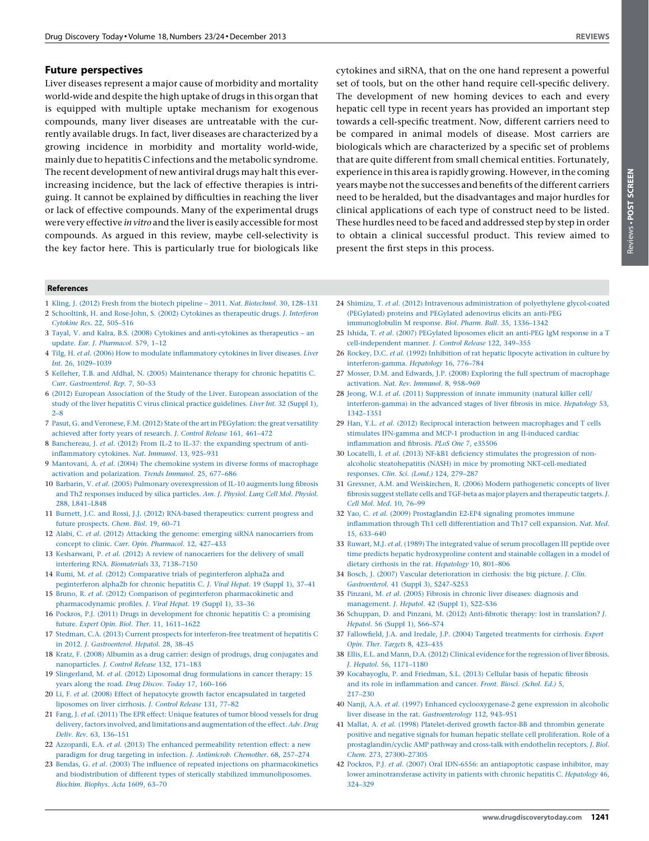Reviews -

Reviews . POST

 POST SCREEN**SCREEN** 

#### <span id="page-4-0"></span>Future perspectives

Liver diseases represent a major cause of morbidity and mortality world-wide and despite the high uptake of drugs in this organ that is equipped with multiple uptake mechanism for exogenous compounds, many liver diseases are untreatable with the currently available drugs. In fact, liver diseases are characterized by a growing incidence in morbidity and mortality world-wide, mainly due to hepatitis C infections and the metabolic syndrome. The recent development of new antiviral drugs may halt this everincreasing incidence, but the lack of effective therapies is intriguing. It cannot be explained by difficulties in reaching the liver or lack of effective compounds. Many of the experimental drugs were very effective in vitro and the liver is easily accessible for most compounds. As argued in this review, maybe cell-selectivity is the key factor here. This is particularly true for biologicals like

cytokines and siRNA, that on the one hand represent a powerful set of tools, but on the other hand require cell-specific delivery. The development of new homing devices to each and every hepatic cell type in recent years has provided an important step towards a cell-specific treatment. Now, different carriers need to be compared in animal models of disease. Most carriers are biologicals which are characterized by a specific set of problems that are quite different from small chemical entities. Fortunately, experience in this area is rapidly growing. However, in the coming years maybe not the successes and benefits of the different carriers need to be heralded, but the disadvantages and major hurdles for clinical applications of each type of construct need to be listed. These hurdles need to be faced and addressed step by step in order to obtain a clinical successful product. This review aimed to present the first steps in this process.

#### References

- 1 Kling, J. (2012) Fresh from the biotech pipeline 2011. Nat. [Biotechnol.](http://refhub.elsevier.com/S1359-6446(13)00159-1/sbref0005) 30, 128–131
- 2 [Schooltink,](http://refhub.elsevier.com/S1359-6446(13)00159-1/sbref0010) H. and Rose-John, S. (2002) Cytokines as therapeutic drugs. J. Interferon Cytokine Res. 22, [505–516](http://refhub.elsevier.com/S1359-6446(13)00159-1/sbref0010)
- 3 Tayal, V. and Kalra, B.S. (2008) Cytokines and [anti-cytokines](http://refhub.elsevier.com/S1359-6446(13)00159-1/sbref0015) as therapeutics an update. Eur. J. [Pharmacol.](http://refhub.elsevier.com/S1359-6446(13)00159-1/sbref0015) 579, 1–12
- 4 Tilg, H. et al. (2006) How to modulate [inflammatory](http://refhub.elsevier.com/S1359-6446(13)00159-1/sbref0020) cytokines in liver diseases. Liver Int. 26, [1029–1039](http://refhub.elsevier.com/S1359-6446(13)00159-1/sbref0020)
- 5 Kelleher, T.B. and Afdhal, N. (2005) [Maintenance](http://refhub.elsevier.com/S1359-6446(13)00159-1/sbref0025) therapy for chronic hepatitis C. Curr. [Gastroenterol.](http://refhub.elsevier.com/S1359-6446(13)00159-1/sbref0025) Rep. 7, 50–53
- 6 (2012) European [Association](http://refhub.elsevier.com/S1359-6446(13)00159-1/sbref0030) of the Study of the Liver. European association of the study of the liver hepatitis C virus clinical practice [guidelines.](http://refhub.elsevier.com/S1359-6446(13)00159-1/sbref0030) Liver Int. 32 (Suppl 1), [2–8](http://refhub.elsevier.com/S1359-6446(13)00159-1/sbref0030)
- 7 Pasut, G. and Veronese, F.M. (2012) State of the art in [PEGylation:](http://refhub.elsevier.com/S1359-6446(13)00159-1/sbref0035) the great versatility [achieved](http://refhub.elsevier.com/S1359-6446(13)00159-1/sbref0035) after forty years of research. J. Control Release 161, 461–472
- 8 [Banchereau,](http://refhub.elsevier.com/S1359-6446(13)00159-1/sbref0040) J. et al. (2012) From IL-2 to IL-37: the expanding spectrum of anti[inflammatory](http://refhub.elsevier.com/S1359-6446(13)00159-1/sbref0040) cytokines. Nat. Immunol. 13, 925–931
- 9 Mantovani, A. et al. (2004) The chemokine system in diverse forms of [macrophage](http://refhub.elsevier.com/S1359-6446(13)00159-1/sbref0045) activation and [polarization.](http://refhub.elsevier.com/S1359-6446(13)00159-1/sbref0045) Trends Immunol. 25, 677–686
- 10 Barbarin, V. et al. (2005) Pulmonary [overexpression](http://refhub.elsevier.com/S1359-6446(13)00159-1/sbref0050) of IL-10 augments lung fibrosis and Th2 [responses](http://refhub.elsevier.com/S1359-6446(13)00159-1/sbref0050) induced by silica particles. Am. J. Physiol. Lung Cell Mol. Physiol. 288, [L841–L848](http://refhub.elsevier.com/S1359-6446(13)00159-1/sbref0050)
- 11 Burnett, J.C. and Rossi, J.J. (2012) RNA-based [therapeutics:](http://refhub.elsevier.com/S1359-6446(13)00159-1/sbref0055) current progress and future [prospects.](http://refhub.elsevier.com/S1359-6446(13)00159-1/sbref0055) Chem. Biol. 19, 60–71
- 12 Alabi, C. et al. (2012) Attacking the genome: emerging siRNA [nanocarriers](http://refhub.elsevier.com/S1359-6446(13)00159-1/sbref0060) from concept to clinic. Curr. Opin. [Pharmacol.](http://refhub.elsevier.com/S1359-6446(13)00159-1/sbref0060) 12, 427–433
- 13 Kesharwani, P. et al. (2012) A review of [nanocarriers](http://refhub.elsevier.com/S1359-6446(13)00159-1/sbref0065) for the delivery of small interfering RNA. [Biomaterials](http://refhub.elsevier.com/S1359-6446(13)00159-1/sbref0065) 33, 7138–7150
- 14 Rumi, M. et al. (2012) Comparative trials of [peginterferon](http://refhub.elsevier.com/S1359-6446(13)00159-1/sbref0070) alpha2a and [peginterferon](http://refhub.elsevier.com/S1359-6446(13)00159-1/sbref0070) alpha2b for chronic hepatitis C. J. Viral Hepat. 19 (Suppl 1), 37–41
- 15 Bruno, R. et al. (2012) Comparison of peginterferon [pharmacokinetic](http://refhub.elsevier.com/S1359-6446(13)00159-1/sbref0075) and [pharmacodynamic](http://refhub.elsevier.com/S1359-6446(13)00159-1/sbref0075) profiles. J. Viral Hepat. 19 (Suppl 1), 33–36
- 16 Pockros, P.J. (2011) Drugs in [development](http://refhub.elsevier.com/S1359-6446(13)00159-1/sbref0080) for chronic hepatitis C: a promising future. Expert Opin. Biol. Ther. 11, [1611–1622](http://refhub.elsevier.com/S1359-6446(13)00159-1/sbref0080)
- 17 Stedman, C.A. (2013) Current prospects for [interferon-free](http://refhub.elsevier.com/S1359-6446(13)00159-1/sbref0085) treatment of hepatitis C in 2012. J. [Gastroenterol.](http://refhub.elsevier.com/S1359-6446(13)00159-1/sbref0085) Hepatol. 28, 38–45
- 18 Kratz, F. (2008) Albumin as a drug carrier: design of prodrugs, drug [conjugates](http://refhub.elsevier.com/S1359-6446(13)00159-1/sbref0090) and [nanoparticles.](http://refhub.elsevier.com/S1359-6446(13)00159-1/sbref0090) J. Control Release 132, 171–183
- 19 Slingerland, M. et al. (2012) Liposomal drug [formulations](http://refhub.elsevier.com/S1359-6446(13)00159-1/sbref0095) in cancer therapy: 15 years along the road. Drug Discov. Today 17, [160–166](http://refhub.elsevier.com/S1359-6446(13)00159-1/sbref0095)
- 20 Li, F. et al. (2008) Effect of hepatocyte growth factor [encapsulated](http://refhub.elsevier.com/S1359-6446(13)00159-1/sbref0100) in targeted [liposomes](http://refhub.elsevier.com/S1359-6446(13)00159-1/sbref0100) on liver cirrhosis. J. Control Release 131, 77–82
- 21 Fang, J. et al. (2011) The EPR effect: Unique [features](http://refhub.elsevier.com/S1359-6446(13)00159-1/sbref0105) of tumor blood vessels for drug delivery, factors involved, and limitations and [augmentation](http://refhub.elsevier.com/S1359-6446(13)00159-1/sbref0105) of the effect. Adv. Drug Deliv. Rev. 63, [136–151](http://refhub.elsevier.com/S1359-6446(13)00159-1/sbref0105)
- 22 Azzopardi, E.A. et al. (2013) The enhanced [permeability](http://refhub.elsevier.com/S1359-6446(13)00159-1/sbref0110) retention effect: a new paradigm for drug targeting in infection. J. [Antimicrob.](http://refhub.elsevier.com/S1359-6446(13)00159-1/sbref0110) Chemother. 68, 257–274
- 23 Bendas, G. et al. (2003) The influence of repeated injections on [pharmacokinetics](http://refhub.elsevier.com/S1359-6446(13)00159-1/sbref0115) and biodistribution of different types of sterically stabilized [immunoliposomes.](http://refhub.elsevier.com/S1359-6446(13)00159-1/sbref0115) [Biochim.](http://refhub.elsevier.com/S1359-6446(13)00159-1/sbref0115) Biophys. Acta 1609, 63–70
- 24 Shimizu, T. et al. (2012) Intravenous [administration](http://refhub.elsevier.com/S1359-6446(13)00159-1/sbref0120) of polyethylene glycol-coated [\(PEGylated\)](http://refhub.elsevier.com/S1359-6446(13)00159-1/sbref0120) proteins and PEGylated adenovirus elicits an anti-PEG [immunoglobulin](http://refhub.elsevier.com/S1359-6446(13)00159-1/sbref0120) M response. Biol. Pharm. Bull. 35, 1336–1342
- 25 Ishida, T. et al. (2007) [PEGylated](http://refhub.elsevier.com/S1359-6446(13)00159-1/sbref0125) liposomes elicit an anti-PEG IgM response in a T [cell-independent](http://refhub.elsevier.com/S1359-6446(13)00159-1/sbref0125) manner. J. Control Release 122, 349–355
- 26 Rockey, D.C. et al. (1992) [Inhibition](http://refhub.elsevier.com/S1359-6446(13)00159-1/sbref0130) of rat hepatic lipocyte activation in culture by [interferon-gamma.](http://refhub.elsevier.com/S1359-6446(13)00159-1/sbref0130) Hepatology 16, 776–784
- 27 Mosser, D.M. and Edwards, J.P. (2008) Exploring the full spectrum of [macrophage](http://refhub.elsevier.com/S1359-6446(13)00159-1/sbref0135) [activation.](http://refhub.elsevier.com/S1359-6446(13)00159-1/sbref0135) Nat. Rev. Immunol. 8, 958–969
- 28 Jeong, W.I. et al. (2011) [Suppression](http://refhub.elsevier.com/S1359-6446(13)00159-1/sbref0140) of innate immunity (natural killer cell/ [interferon-gamma\)](http://refhub.elsevier.com/S1359-6446(13)00159-1/sbref0140) in the advanced stages of liver fibrosis in mice. Hepatology 53, [1342–1351](http://refhub.elsevier.com/S1359-6446(13)00159-1/sbref0140)
- 29 Han, Y.L. et al. (2012) Reciprocal interaction between [macrophages](http://refhub.elsevier.com/S1359-6446(13)00159-1/sbref0145) and T cells stimulates [IFN-gamma](http://refhub.elsevier.com/S1359-6446(13)00159-1/sbref0145) and MCP-1 production in ang II-induced cardiac [inflammation](http://refhub.elsevier.com/S1359-6446(13)00159-1/sbref0145) and fibrosis. PLoS One 7, e35506
- 30 Locatelli, I. et al. (2013) NF-kB1 deficiency stimulates the [progression](http://refhub.elsevier.com/S1359-6446(13)00159-1/sbref0150) of nonalcoholic steatohepatitis (NASH) in mice by promoting [NKT-cell-mediated](http://refhub.elsevier.com/S1359-6446(13)00159-1/sbref0150) [responses.](http://refhub.elsevier.com/S1359-6446(13)00159-1/sbref0150) Clin. Sci. (Lond.) 124, 279–287
- 31 Gressner, A.M. and [Weiskirchen,](http://refhub.elsevier.com/S1359-6446(13)00159-1/sbref0155) R. (2006) Modern pathogenetic concepts of liver fibrosis suggest stellate cells and TGF-beta as major players and [therapeutic](http://refhub.elsevier.com/S1359-6446(13)00159-1/sbref0155) targets. J. Cell Mol. Med. 10, [76–99](http://refhub.elsevier.com/S1359-6446(13)00159-1/sbref0155)
- 32 Yao, C. et al. (2009) [Prostaglandin](http://refhub.elsevier.com/S1359-6446(13)00159-1/sbref0160) E2-EP4 signaling promotes immune inflammation through Th1 cell [differentiation](http://refhub.elsevier.com/S1359-6446(13)00159-1/sbref0160) and Th17 cell expansion. Nat. Med. 15, [633–640](http://refhub.elsevier.com/S1359-6446(13)00159-1/sbref0160)
- 33 Ruwart, M.J. et al. (1989) The integrated value of serum [procollagen](http://refhub.elsevier.com/S1359-6446(13)00159-1/sbref0165) III peptide over time predicts hepatic [hydroxyproline](http://refhub.elsevier.com/S1359-6446(13)00159-1/sbref0165) content and stainable collagen in a model of dietary cirrhosis in the rat. [Hepatology](http://refhub.elsevier.com/S1359-6446(13)00159-1/sbref0165) 10, 801–806
- 34 Bosch, J. (2007) Vascular [deterioration](http://refhub.elsevier.com/S1359-6446(13)00159-1/sbref0170) in cirrhosis: the big picture. J. Clin. [Gastroenterol.](http://refhub.elsevier.com/S1359-6446(13)00159-1/sbref0170) 41 (Suppl 3), S247–S253
- 35 Pinzani, M. et al. (2005) Fibrosis in chronic liver diseases: [diagnosis](http://refhub.elsevier.com/S1359-6446(13)00159-1/sbref0175) and [management.](http://refhub.elsevier.com/S1359-6446(13)00159-1/sbref0175) J. Hepatol. 42 (Suppl 1), S22–S36
- 36 Schuppan, D. and Pinzani, M. (2012) [Anti-fibrotic](http://refhub.elsevier.com/S1359-6446(13)00159-1/sbref0180) therapy: lost in translation? J. Hepatol. 56 (Suppl 1), [S66–S74](http://refhub.elsevier.com/S1359-6446(13)00159-1/sbref0180)
- 37 [Fallowfield,](http://refhub.elsevier.com/S1359-6446(13)00159-1/sbref0185) J.A. and Iredale, J.P. (2004) Targeted treatments for cirrhosis. Expert Opin. Ther. Targets 8, [423–435](http://refhub.elsevier.com/S1359-6446(13)00159-1/sbref0185)
- 38 Ellis, E.L. and Mann, D.A. (2012) Clinical evidence for the [regression](http://refhub.elsevier.com/S1359-6446(13)00159-1/sbref0190) of liver fibrosis. J. Hepatol. 56, [1171–1180](http://refhub.elsevier.com/S1359-6446(13)00159-1/sbref0190)
- 39 [Kocabayoglu,](http://refhub.elsevier.com/S1359-6446(13)00159-1/sbref0195) P. and Friedman, S.L. (2013) Cellular basis of hepatic fibrosis and its role in [inflammation](http://refhub.elsevier.com/S1359-6446(13)00159-1/sbref0195) and cancer. Front. Biosci. (Schol. Ed.) 5, [217–230](http://refhub.elsevier.com/S1359-6446(13)00159-1/sbref0195)
- 40 Nanji, A.A. et al. (1997) Enhanced [cyclooxygenase-2](http://refhub.elsevier.com/S1359-6446(13)00159-1/sbref0200) gene expression in alcoholic liver disease in the rat. [Gastroenterology](http://refhub.elsevier.com/S1359-6446(13)00159-1/sbref0200) 112, 943–951
- 41 Mallat, A. et al. (1998) [Platelet-derived](http://refhub.elsevier.com/S1359-6446(13)00159-1/sbref0205) growth factor-BB and thrombin generate positive and negative signals for human hepatic stellate cell [proliferation.](http://refhub.elsevier.com/S1359-6446(13)00159-1/sbref0205) Role of a [prostaglandin/cyclic](http://refhub.elsevier.com/S1359-6446(13)00159-1/sbref0205) AMP pathway and cross-talk with endothelin receptors. J. Biol. Chem. 273, [27300–27305](http://refhub.elsevier.com/S1359-6446(13)00159-1/sbref0205)
- 42 Pockros, P.J. et al. (2007) Oral IDN-6556: an [antiapoptotic](http://refhub.elsevier.com/S1359-6446(13)00159-1/sbref0210) caspase inhibitor, may lower [aminotransferase](http://refhub.elsevier.com/S1359-6446(13)00159-1/sbref0210) activity in patients with chronic hepatitis C. Hepatology 46, [324–329](http://refhub.elsevier.com/S1359-6446(13)00159-1/sbref0210)